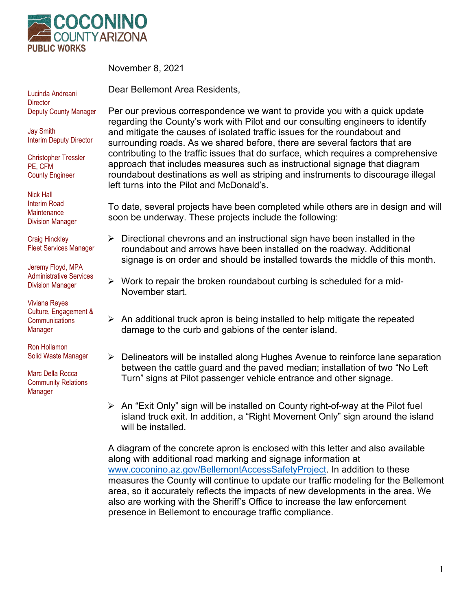

November 8, 2021

Dear Bellemont Area Residents,

Lucinda Andreani **Director** Deputy County Manager

Jay Smith Interim Deputy Director

Christopher Tressler PE, CFM County Engineer

Nick Hall Interim Road **Maintenance** Division Manager

Craig Hinckley Fleet Services Manager

Jeremy Floyd, MPA Administrative Services Division Manager

Viviana Reyes Culture, Engagement & **Communications** Manager

Ron Hollamon Solid Waste Manager

Marc Della Rocca Community Relations Manager

Per our previous correspondence we want to provide you with a quick update regarding the County's work with Pilot and our consulting engineers to identify and mitigate the causes of isolated traffic issues for the roundabout and surrounding roads. As we shared before, there are several factors that are contributing to the traffic issues that do surface, which requires a comprehensive approach that includes measures such as instructional signage that diagram roundabout destinations as well as striping and instruments to discourage illegal left turns into the Pilot and McDonald's.

To date, several projects have been completed while others are in design and will soon be underway. These projects include the following:

- $\triangleright$  Directional chevrons and an instructional sign have been installed in the roundabout and arrows have been installed on the roadway. Additional signage is on order and should be installed towards the middle of this month.
- $\triangleright$  Work to repair the broken roundabout curbing is scheduled for a mid-November start.
- $\triangleright$  An additional truck apron is being installed to help mitigate the repeated damage to the curb and gabions of the center island.
- $\triangleright$  Delineators will be installed along Hughes Avenue to reinforce lane separation between the cattle guard and the paved median; installation of two "No Left Turn" signs at Pilot passenger vehicle entrance and other signage.
- $\triangleright$  An "Exit Only" sign will be installed on County right-of-way at the Pilot fuel island truck exit. In addition, a "Right Movement Only" sign around the island will be installed.

A diagram of the concrete apron is enclosed with this letter and also available along with additional road marking and signage information at [www.coconino.az.gov/BellemontAccessSafetyProject.](http://www.coconino.az.gov/BellemontAccessSafetyProject) In addition to these measures the County will continue to update our traffic modeling for the Bellemont area, so it accurately reflects the impacts of new developments in the area. We also are working with the Sheriff's Office to increase the law enforcement presence in Bellemont to encourage traffic compliance.